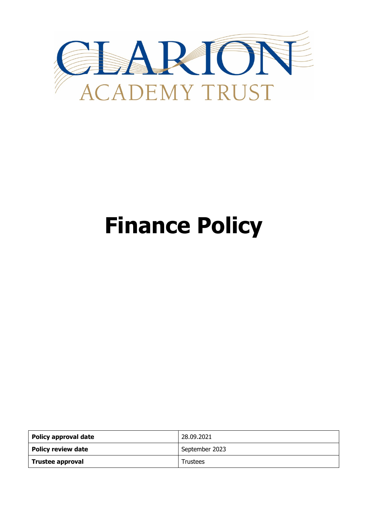

# **Finance Policy**

| Policy approval date | 28.09.2021      |
|----------------------|-----------------|
| Policy review date   | September 2023  |
| Trustee approval     | <b>Trustees</b> |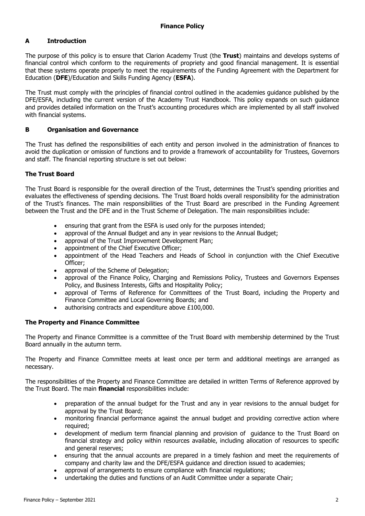# **A Introduction**

The purpose of this policy is to ensure that Clarion Academy Trust (the **Trust**) maintains and develops systems of financial control which conform to the requirements of propriety and good financial management. It is essential that these systems operate properly to meet the requirements of the Funding Agreement with the Department for Education (**DFE**)/Education and Skills Funding Agency (**ESFA**).

The Trust must comply with the principles of financial control outlined in the academies guidance published by the DFE/ESFA, including the current version of the Academy Trust Handbook. This policy expands on such guidance and provides detailed information on the Trust's accounting procedures which are implemented by all staff involved with financial systems.

# **B Organisation and Governance**

The Trust has defined the responsibilities of each entity and person involved in the administration of finances to avoid the duplication or omission of functions and to provide a framework of accountability for Trustees, Governors and staff. The financial reporting structure is set out below:

# **The Trust Board**

The Trust Board is responsible for the overall direction of the Trust, determines the Trust's spending priorities and evaluates the effectiveness of spending decisions. The Trust Board holds overall responsibility for the administration of the Trust's finances. The main responsibilities of the Trust Board are prescribed in the Funding Agreement between the Trust and the DFE and in the Trust Scheme of Delegation. The main responsibilities include:

- ensuring that grant from the ESFA is used only for the purposes intended;
- approval of the Annual Budget and any in year revisions to the Annual Budget;
- approval of the Trust Improvement Development Plan;
- appointment of the Chief Executive Officer;
- appointment of the Head Teachers and Heads of School in conjunction with the Chief Executive Officer;
- approval of the Scheme of Delegation;
- approval of the Finance Policy, Charging and Remissions Policy, Trustees and Governors Expenses Policy, and Business Interests, Gifts and Hospitality Policy;
- approval of Terms of Reference for Committees of the Trust Board, including the Property and Finance Committee and Local Governing Boards; and
- authorising contracts and expenditure above £100,000.

# **The Property and Finance Committee**

The Property and Finance Committee is a committee of the Trust Board with membership determined by the Trust Board annually in the autumn term.

The Property and Finance Committee meets at least once per term and additional meetings are arranged as necessary.

The responsibilities of the Property and Finance Committee are detailed in written Terms of Reference approved by the Trust Board. The main **financial** responsibilities include:

- preparation of the annual budget for the Trust and any in year revisions to the annual budget for approval by the Trust Board;
- monitoring financial performance against the annual budget and providing corrective action where required;
- development of medium term financial planning and provision of guidance to the Trust Board on financial strategy and policy within resources available, including allocation of resources to specific and general reserves;
- ensuring that the annual accounts are prepared in a timely fashion and meet the requirements of company and charity law and the DFE/ESFA guidance and direction issued to academies;
- approval of arrangements to ensure compliance with financial regulations;
- undertaking the duties and functions of an Audit Committee under a separate Chair;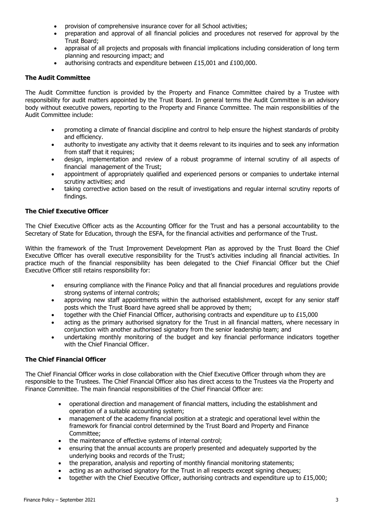- provision of comprehensive insurance cover for all School activities;
- preparation and approval of all financial policies and procedures not reserved for approval by the Trust Board;
- appraisal of all projects and proposals with financial implications including consideration of long term planning and resourcing impact; and
- authorising contracts and expenditure between £15,001 and £100,000.

# **The Audit Committee**

The Audit Committee function is provided by the Property and Finance Committee chaired by a Trustee with responsibility for audit matters appointed by the Trust Board. In general terms the Audit Committee is an advisory body without executive powers, reporting to the Property and Finance Committee. The main responsibilities of the Audit Committee include:

- promoting a climate of financial discipline and control to help ensure the highest standards of probity and efficiency.
- authority to investigate any activity that it deems relevant to its inquiries and to seek any information from staff that it requires;
- design, implementation and review of a robust programme of internal scrutiny of all aspects of financial management of the Trust;
- appointment of appropriately qualified and experienced persons or companies to undertake internal scrutiny activities; and
- taking corrective action based on the result of investigations and regular internal scrutiny reports of findings.

# **The Chief Executive Officer**

The Chief Executive Officer acts as the Accounting Officer for the Trust and has a personal accountability to the Secretary of State for Education, through the ESFA, for the financial activities and performance of the Trust.

Within the framework of the Trust Improvement Development Plan as approved by the Trust Board the Chief Executive Officer has overall executive responsibility for the Trust's activities including all financial activities. In practice much of the financial responsibility has been delegated to the Chief Financial Officer but the Chief Executive Officer still retains responsibility for:

- ensuring compliance with the Finance Policy and that all financial procedures and regulations provide strong systems of internal controls;
- approving new staff appointments within the authorised establishment, except for any senior staff posts which the Trust Board have agreed shall be approved by them;
- together with the Chief Financial Officer, authorising contracts and expenditure up to £15,000
- acting as the primary authorised signatory for the Trust in all financial matters, where necessary in conjunction with another authorised signatory from the senior leadership team; and
- undertaking monthly monitoring of the budget and key financial performance indicators together with the Chief Financial Officer.

# **The Chief Financial Officer**

The Chief Financial Officer works in close collaboration with the Chief Executive Officer through whom they are responsible to the Trustees. The Chief Financial Officer also has direct access to the Trustees via the Property and Finance Committee. The main financial responsibilities of the Chief Financial Officer are:

- operational direction and management of financial matters, including the establishment and operation of a suitable accounting system;
- management of the academy financial position at a strategic and operational level within the framework for financial control determined by the Trust Board and Property and Finance Committee;
- the maintenance of effective systems of internal control;
- ensuring that the annual accounts are properly presented and adequately supported by the underlying books and records of the Trust;
- the preparation, analysis and reporting of monthly financial monitoring statements;
- acting as an authorised signatory for the Trust in all respects except signing cheques;
- together with the Chief Executive Officer, authorising contracts and expenditure up to £15,000;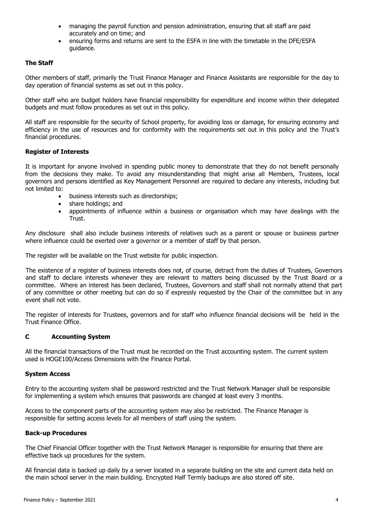- managing the payroll function and pension administration, ensuring that all staff are paid accurately and on time; and
- ensuring forms and returns are sent to the ESFA in line with the timetable in the DFE/ESFA guidance.

# **The Staff**

Other members of staff, primarily the Trust Finance Manager and Finance Assistants are responsible for the day to day operation of financial systems as set out in this policy.

Other staff who are budget holders have financial responsibility for expenditure and income within their delegated budgets and must follow procedures as set out in this policy.

All staff are responsible for the security of School property, for avoiding loss or damage, for ensuring economy and efficiency in the use of resources and for conformity with the requirements set out in this policy and the Trust's financial procedures.

# **Register of Interests**

It is important for anyone involved in spending public money to demonstrate that they do not benefit personally from the decisions they make. To avoid any misunderstanding that might arise all Members, Trustees, local governors and persons identified as Key Management Personnel are required to declare any interests, including but not limited to:

- business interests such as directorships;
- share holdings; and
- appointments of influence within a business or organisation which may have dealings with the Trust.

Any disclosure shall also include business interests of relatives such as a parent or spouse or business partner where influence could be exerted over a governor or a member of staff by that person.

The register will be available on the Trust website for public inspection.

The existence of a register of business interests does not, of course, detract from the duties of Trustees, Governors and staff to declare interests whenever they are relevant to matters being discussed by the Trust Board or a committee. Where an interest has been declared, Trustees, Governors and staff shall not normally attend that part of any committee or other meeting but can do so if expressly requested by the Chair of the committee but in any event shall not vote.

The register of interests for Trustees, governors and for staff who influence financial decisions will be held in the Trust Finance Office.

# **C Accounting System**

All the financial transactions of the Trust must be recorded on the Trust accounting system. The current system used is HOGE100/Access Dimensions with the Finance Portal.

#### **System Access**

Entry to the accounting system shall be password restricted and the Trust Network Manager shall be responsible for implementing a system which ensures that passwords are changed at least every 3 months.

Access to the component parts of the accounting system may also be restricted. The Finance Manager is responsible for setting access levels for all members of staff using the system.

#### **Back-up Procedures**

The Chief Financial Officer together with the Trust Network Manager is responsible for ensuring that there are effective back up procedures for the system.

All financial data is backed up daily by a server located in a separate building on the site and current data held on the main school server in the main building. Encrypted Half Termly backups are also stored off site.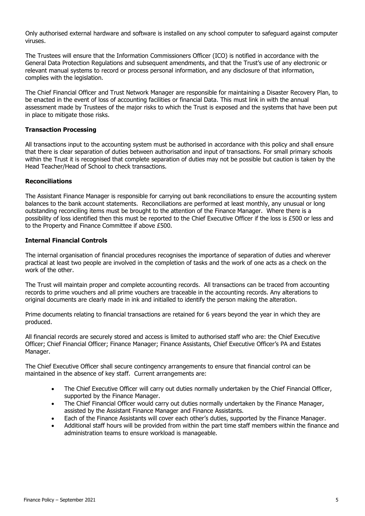Only authorised external hardware and software is installed on any school computer to safeguard against computer viruses.

The Trustees will ensure that the Information Commissioners Officer (ICO) is notified in accordance with the General Data Protection Regulations and subsequent amendments, and that the Trust's use of any electronic or relevant manual systems to record or process personal information, and any disclosure of that information, complies with the legislation.

The Chief Financial Officer and Trust Network Manager are responsible for maintaining a Disaster Recovery Plan, to be enacted in the event of loss of accounting facilities or financial Data. This must link in with the annual assessment made by Trustees of the major risks to which the Trust is exposed and the systems that have been put in place to mitigate those risks.

# **Transaction Processing**

All transactions input to the accounting system must be authorised in accordance with this policy and shall ensure that there is clear separation of duties between authorisation and input of transactions. For small primary schools within the Trust it is recognised that complete separation of duties may not be possible but caution is taken by the Head Teacher/Head of School to check transactions.

# **Reconciliations**

The Assistant Finance Manager is responsible for carrying out bank reconciliations to ensure the accounting system balances to the bank account statements. Reconciliations are performed at least monthly, any unusual or long outstanding reconciling items must be brought to the attention of the Finance Manager. Where there is a possibility of loss identified then this must be reported to the Chief Executive Officer if the loss is £500 or less and to the Property and Finance Committee if above £500.

# **Internal Financial Controls**

The internal organisation of financial procedures recognises the importance of separation of duties and wherever practical at least two people are involved in the completion of tasks and the work of one acts as a check on the work of the other.

The Trust will maintain proper and complete accounting records. All transactions can be traced from accounting records to prime vouchers and all prime vouchers are traceable in the accounting records. Any alterations to original documents are clearly made in ink and initialled to identify the person making the alteration.

Prime documents relating to financial transactions are retained for 6 years beyond the year in which they are produced.

All financial records are securely stored and access is limited to authorised staff who are: the Chief Executive Officer; Chief Financial Officer; Finance Manager; Finance Assistants, Chief Executive Officer's PA and Estates Manager.

The Chief Executive Officer shall secure contingency arrangements to ensure that financial control can be maintained in the absence of key staff. Current arrangements are:

- The Chief Executive Officer will carry out duties normally undertaken by the Chief Financial Officer, supported by the Finance Manager.
- The Chief Financial Officer would carry out duties normally undertaken by the Finance Manager, assisted by the Assistant Finance Manager and Finance Assistants.
- Each of the Finance Assistants will cover each other's duties, supported by the Finance Manager.
- Additional staff hours will be provided from within the part time staff members within the finance and administration teams to ensure workload is manageable.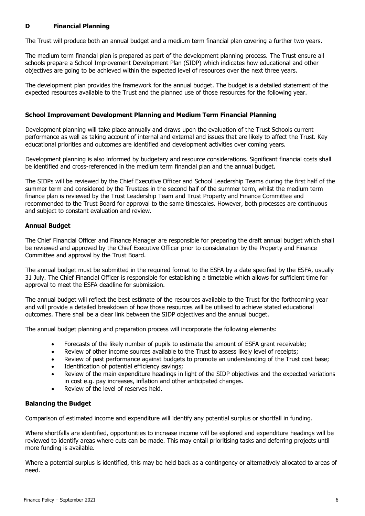# **D Financial Planning**

The Trust will produce both an annual budget and a medium term financial plan covering a further two years.

The medium term financial plan is prepared as part of the development planning process. The Trust ensure all schools prepare a School Improvement Development Plan (SIDP) which indicates how educational and other objectives are going to be achieved within the expected level of resources over the next three years.

The development plan provides the framework for the annual budget. The budget is a detailed statement of the expected resources available to the Trust and the planned use of those resources for the following year.

# **School Improvement Development Planning and Medium Term Financial Planning**

Development planning will take place annually and draws upon the evaluation of the Trust Schools current performance as well as taking account of internal and external and issues that are likely to affect the Trust. Key educational priorities and outcomes are identified and development activities over coming years.

Development planning is also informed by budgetary and resource considerations. Significant financial costs shall be identified and cross-referenced in the medium term financial plan and the annual budget.

The SIDPs will be reviewed by the Chief Executive Officer and School Leadership Teams during the first half of the summer term and considered by the Trustees in the second half of the summer term, whilst the medium term finance plan is reviewed by the Trust Leadership Team and Trust Property and Finance Committee and recommended to the Trust Board for approval to the same timescales. However, both processes are continuous and subject to constant evaluation and review.

# **Annual Budget**

The Chief Financial Officer and Finance Manager are responsible for preparing the draft annual budget which shall be reviewed and approved by the Chief Executive Officer prior to consideration by the Property and Finance Committee and approval by the Trust Board.

The annual budget must be submitted in the required format to the ESFA by a date specified by the ESFA, usually 31 July. The Chief Financial Officer is responsible for establishing a timetable which allows for sufficient time for approval to meet the ESFA deadline for submission.

The annual budget will reflect the best estimate of the resources available to the Trust for the forthcoming year and will provide a detailed breakdown of how those resources will be utilised to achieve stated educational outcomes. There shall be a clear link between the SIDP objectives and the annual budget.

The annual budget planning and preparation process will incorporate the following elements:

- Forecasts of the likely number of pupils to estimate the amount of ESFA grant receivable;
- Review of other income sources available to the Trust to assess likely level of receipts;
- Review of past performance against budgets to promote an understanding of the Trust cost base;
- Identification of potential efficiency savings;
- Review of the main expenditure headings in light of the SIDP objectives and the expected variations in cost e.g. pay increases, inflation and other anticipated changes.
- Review of the level of reserves held.

# **Balancing the Budget**

Comparison of estimated income and expenditure will identify any potential surplus or shortfall in funding.

Where shortfalls are identified, opportunities to increase income will be explored and expenditure headings will be reviewed to identify areas where cuts can be made. This may entail prioritising tasks and deferring projects until more funding is available.

Where a potential surplus is identified, this may be held back as a contingency or alternatively allocated to areas of need.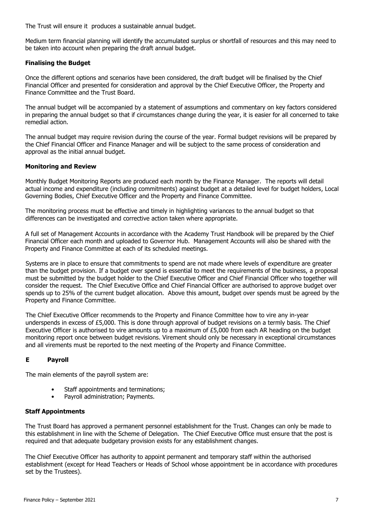The Trust will ensure it produces a sustainable annual budget.

Medium term financial planning will identify the accumulated surplus or shortfall of resources and this may need to be taken into account when preparing the draft annual budget.

# **Finalising the Budget**

Once the different options and scenarios have been considered, the draft budget will be finalised by the Chief Financial Officer and presented for consideration and approval by the Chief Executive Officer, the Property and Finance Committee and the Trust Board.

The annual budget will be accompanied by a statement of assumptions and commentary on key factors considered in preparing the annual budget so that if circumstances change during the year, it is easier for all concerned to take remedial action.

The annual budget may require revision during the course of the year. Formal budget revisions will be prepared by the Chief Financial Officer and Finance Manager and will be subject to the same process of consideration and approval as the initial annual budget.

# **Monitoring and Review**

Monthly Budget Monitoring Reports are produced each month by the Finance Manager. The reports will detail actual income and expenditure (including commitments) against budget at a detailed level for budget holders, Local Governing Bodies, Chief Executive Officer and the Property and Finance Committee.

The monitoring process must be effective and timely in highlighting variances to the annual budget so that differences can be investigated and corrective action taken where appropriate.

A full set of Management Accounts in accordance with the Academy Trust Handbook will be prepared by the Chief Financial Officer each month and uploaded to Governor Hub. Management Accounts will also be shared with the Property and Finance Committee at each of its scheduled meetings.

Systems are in place to ensure that commitments to spend are not made where levels of expenditure are greater than the budget provision. If a budget over spend is essential to meet the requirements of the business, a proposal must be submitted by the budget holder to the Chief Executive Officer and Chief Financial Officer who together will consider the request. The Chief Executive Office and Chief Financial Officer are authorised to approve budget over spends up to 25% of the current budget allocation. Above this amount, budget over spends must be agreed by the Property and Finance Committee.

The Chief Executive Officer recommends to the Property and Finance Committee how to vire any in-year underspends in excess of £5,000. This is done through approval of budget revisions on a termly basis. The Chief Executive Officer is authorised to vire amounts up to a maximum of £5,000 from each AR heading on the budget monitoring report once between budget revisions. Virement should only be necessary in exceptional circumstances and all virements must be reported to the next meeting of the Property and Finance Committee.

# **E Payroll**

The main elements of the payroll system are:

- Staff appointments and terminations;
- Payroll administration; Payments.

# **Staff Appointments**

The Trust Board has approved a permanent personnel establishment for the Trust. Changes can only be made to this establishment in line with the Scheme of Delegation. The Chief Executive Office must ensure that the post is required and that adequate budgetary provision exists for any establishment changes.

The Chief Executive Officer has authority to appoint permanent and temporary staff within the authorised establishment (except for Head Teachers or Heads of School whose appointment be in accordance with procedures set by the Trustees).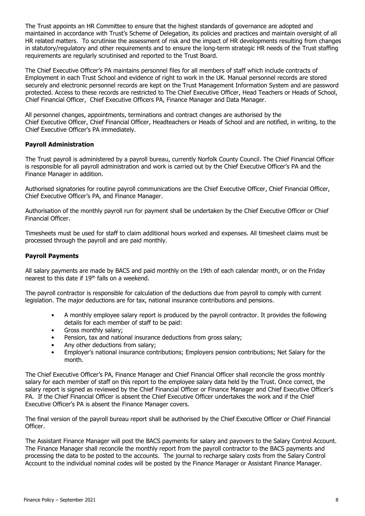The Trust appoints an HR Committee to ensure that the highest standards of governance are adopted and maintained in accordance with Trust's Scheme of Delegation, its policies and practices and maintain oversight of all HR related matters. To scrutinise the assessment of risk and the impact of HR developments resulting from changes in statutory/regulatory and other requirements and to ensure the long-term strategic HR needs of the Trust staffing requirements are regularly scrutinised and reported to the Trust Board.

The Chief Executive Officer's PA maintains personnel files for all members of staff which include contracts of Employment in each Trust School and evidence of right to work in the UK. Manual personnel records are stored securely and electronic personnel records are kept on the Trust Management Information System and are password protected. Access to these records are restricted to The Chief Executive Officer, Head Teachers or Heads of School, Chief Financial Officer, Chief Executive Officers PA, Finance Manager and Data Manager.

All personnel changes, appointments, terminations and contract changes are authorised by the Chief Executive Officer, Chief Financial Officer, Headteachers or Heads of School and are notified, in writing, to the Chief Executive Officer's PA immediately.

# **Payroll Administration**

The Trust payroll is administered by a payroll bureau, currently Norfolk County Council. The Chief Financial Officer is responsible for all payroll administration and work is carried out by the Chief Executive Officer's PA and the Finance Manager in addition.

Authorised signatories for routine payroll communications are the Chief Executive Officer, Chief Financial Officer, Chief Executive Officer's PA, and Finance Manager.

Authorisation of the monthly payroll run for payment shall be undertaken by the Chief Executive Officer or Chief Financial Officer.

Timesheets must be used for staff to claim additional hours worked and expenses. All timesheet claims must be processed through the payroll and are paid monthly.

# **Payroll Payments**

All salary payments are made by BACS and paid monthly on the 19th of each calendar month, or on the Friday nearest to this date if 19th falls on a weekend.

The payroll contractor is responsible for calculation of the deductions due from payroll to comply with current legislation. The major deductions are for tax, national insurance contributions and pensions.

- A monthly employee salary report is produced by the payroll contractor. It provides the following details for each member of staff to be paid:
- Gross monthly salary;
- Pension, tax and national insurance deductions from gross salary;
- Any other deductions from salary;
- Employer's national insurance contributions; Employers pension contributions; Net Salary for the month.

The Chief Executive Officer's PA, Finance Manager and Chief Financial Officer shall reconcile the gross monthly salary for each member of staff on this report to the employee salary data held by the Trust. Once correct, the salary report is signed as reviewed by the Chief Financial Officer or Finance Manager and Chief Executive Officer's PA. If the Chief Financial Officer is absent the Chief Executive Officer undertakes the work and if the Chief Executive Officer's PA is absent the Finance Manager covers.

The final version of the payroll bureau report shall be authorised by the Chief Executive Officer or Chief Financial Officer.

The Assistant Finance Manager will post the BACS payments for salary and payovers to the Salary Control Account. The Finance Manager shall reconcile the monthly report from the payroll contractor to the BACS payments and processing the data to be posted to the accounts. The journal to recharge salary costs from the Salary Control Account to the individual nominal codes will be posted by the Finance Manager or Assistant Finance Manager.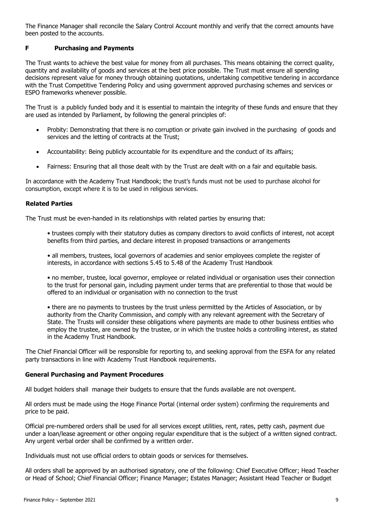The Finance Manager shall reconcile the Salary Control Account monthly and verify that the correct amounts have been posted to the accounts.

# **F Purchasing and Payments**

The Trust wants to achieve the best value for money from all purchases. This means obtaining the correct quality, quantity and availability of goods and services at the best price possible. The Trust must ensure all spending decisions represent value for money through obtaining quotations, undertaking competitive tendering in accordance with the Trust Competitive Tendering Policy and using government approved purchasing schemes and services or ESPO frameworks whenever possible.

The Trust is a publicly funded body and it is essential to maintain the integrity of these funds and ensure that they are used as intended by Parliament, by following the general principles of:

- Probity: Demonstrating that there is no corruption or private gain involved in the purchasing of goods and services and the letting of contracts at the Trust;
- Accountability: Being publicly accountable for its expenditure and the conduct of its affairs;
- Fairness: Ensuring that all those dealt with by the Trust are dealt with on a fair and equitable basis.

In accordance with the Academy Trust Handbook; the trust's funds must not be used to purchase alcohol for consumption, except where it is to be used in religious services.

#### **Related Parties**

The Trust must be even-handed in its relationships with related parties by ensuring that:

• trustees comply with their statutory duties as company directors to avoid conflicts of interest, not accept benefits from third parties, and declare interest in proposed transactions or arrangements

• all members, trustees, local governors of academies and senior employees complete the register of interests, in accordance with sections 5.45 to 5.48 of the Academy Trust Handbook

• no member, trustee, local governor, employee or related individual or organisation uses their connection to the trust for personal gain, including payment under terms that are preferential to those that would be offered to an individual or organisation with no connection to the trust

• there are no payments to trustees by the trust unless permitted by the Articles of Association, or by authority from the Charity Commission, and comply with any relevant agreement with the Secretary of State. The Trusts will consider these obligations where payments are made to other business entities who employ the trustee, are owned by the trustee, or in which the trustee holds a controlling interest, as stated in the Academy Trust Handbook.

The Chief Financial Officer will be responsible for reporting to, and seeking approval from the ESFA for any related party transactions in line with Academy Trust Handbook requirements.

#### **General Purchasing and Payment Procedures**

All budget holders shall manage their budgets to ensure that the funds available are not overspent.

All orders must be made using the Hoge Finance Portal (internal order system) confirming the requirements and price to be paid.

Official pre-numbered orders shall be used for all services except utilities, rent, rates, petty cash, payment due under a loan/lease agreement or other ongoing regular expenditure that is the subject of a written signed contract. Any urgent verbal order shall be confirmed by a written order.

Individuals must not use official orders to obtain goods or services for themselves.

All orders shall be approved by an authorised signatory, one of the following: Chief Executive Officer; Head Teacher or Head of School; Chief Financial Officer; Finance Manager; Estates Manager; Assistant Head Teacher or Budget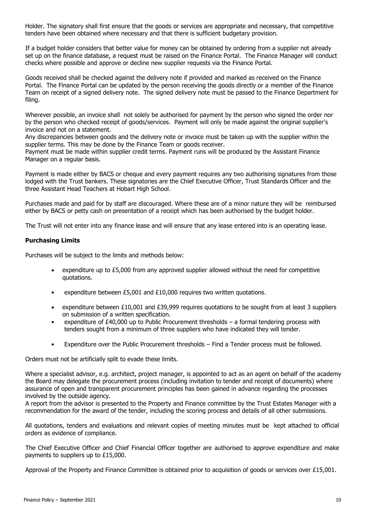Holder. The signatory shall first ensure that the goods or services are appropriate and necessary, that competitive tenders have been obtained where necessary and that there is sufficient budgetary provision.

If a budget holder considers that better value for money can be obtained by ordering from a supplier not already set up on the finance database, a request must be raised on the Finance Portal. The Finance Manager will conduct checks where possible and approve or decline new supplier requests via the Finance Portal.

Goods received shall be checked against the delivery note if provided and marked as received on the Finance Portal. The Finance Portal can be updated by the person receiving the goods directly or a member of the Finance Team on receipt of a signed delivery note. The signed delivery note must be passed to the Finance Department for filing.

Wherever possible, an invoice shall not solely be authorised for payment by the person who signed the order nor by the person who checked receipt of goods/services. Payment will only be made against the original supplier's invoice and not on a statement.

Any discrepancies between goods and the delivery note or invoice must be taken up with the supplier within the supplier terms. This may be done by the Finance Team or goods receiver.

Payment must be made within supplier credit terms. Payment runs will be produced by the Assistant Finance Manager on a regular basis.

Payment is made either by BACS or cheque and every payment requires any two authorising signatures from those lodged with the Trust bankers. These signatories are the Chief Executive Officer, Trust Standards Officer and the three Assistant Head Teachers at Hobart High School.

Purchases made and paid for by staff are discouraged. Where these are of a minor nature they will be reimbursed either by BACS or petty cash on presentation of a receipt which has been authorised by the budget holder.

The Trust will not enter into any finance lease and will ensure that any lease entered into is an operating lease.

# **Purchasing Limits**

Purchases will be subject to the limits and methods below:

- expenditure up to £5,000 from any approved supplier allowed without the need for competitive quotations.
- expenditure between £5,001 and £10,000 requires two written quotations.
- expenditure between £10,001 and £39,999 requires quotations to be sought from at least 3 suppliers on submission of a written specification.
- expenditure of £40,000 up to Public Procurement thresholds a formal tendering process with tenders sought from a minimum of three suppliers who have indicated they will tender.
- Expenditure over the Public Procurement thresholds Find a Tender process must be followed.

Orders must not be artificially split to evade these limits.

Where a specialist advisor, e.g. architect, project manager, is appointed to act as an agent on behalf of the academy the Board may delegate the procurement process (including invitation to tender and receipt of documents) where assurance of open and transparent procurement principles has been gained in advance regarding the processes involved by the outside agency.

A report from the advisor is presented to the Property and Finance committee by the Trust Estates Manager with a recommendation for the award of the tender, including the scoring process and details of all other submissions.

All quotations, tenders and evaluations and relevant copies of meeting minutes must be kept attached to official orders as evidence of compliance.

The Chief Executive Officer and Chief Financial Officer together are authorised to approve expenditure and make payments to suppliers up to £15,000.

Approval of the Property and Finance Committee is obtained prior to acquisition of goods or services over £15,001.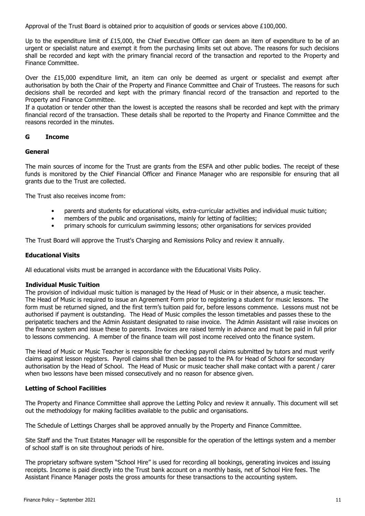Approval of the Trust Board is obtained prior to acquisition of goods or services above £100,000.

Up to the expenditure limit of £15,000, the Chief Executive Officer can deem an item of expenditure to be of an urgent or specialist nature and exempt it from the purchasing limits set out above. The reasons for such decisions shall be recorded and kept with the primary financial record of the transaction and reported to the Property and Finance Committee.

Over the £15,000 expenditure limit, an item can only be deemed as urgent or specialist and exempt after authorisation by both the Chair of the Property and Finance Committee and Chair of Trustees. The reasons for such decisions shall be recorded and kept with the primary financial record of the transaction and reported to the Property and Finance Committee.

If a quotation or tender other than the lowest is accepted the reasons shall be recorded and kept with the primary financial record of the transaction. These details shall be reported to the Property and Finance Committee and the reasons recorded in the minutes.

# **G Income**

#### **General**

The main sources of income for the Trust are grants from the ESFA and other public bodies. The receipt of these funds is monitored by the Chief Financial Officer and Finance Manager who are responsible for ensuring that all grants due to the Trust are collected.

The Trust also receives income from:

- parents and students for educational visits, extra-curricular activities and individual music tuition;
- members of the public and organisations, mainly for letting of facilities;
- primary schools for curriculum swimming lessons; other organisations for services provided

The Trust Board will approve the Trust's Charging and Remissions Policy and review it annually.

#### **Educational Visits**

All educational visits must be arranged in accordance with the Educational Visits Policy.

#### **Individual Music Tuition**

The provision of individual music tuition is managed by the Head of Music or in their absence, a music teacher. The Head of Music is required to issue an Agreement Form prior to registering a student for music lessons. The form must be returned signed, and the first term's tuition paid for, before lessons commence. Lessons must not be authorised if payment is outstanding. The Head of Music compiles the lesson timetables and passes these to the peripatetic teachers and the Admin Assistant designated to raise invoice. The Admin Assistant will raise invoices on the finance system and issue these to parents. Invoices are raised termly in advance and must be paid in full prior to lessons commencing. A member of the finance team will post income received onto the finance system.

The Head of Music or Music Teacher is responsible for checking payroll claims submitted by tutors and must verify claims against lesson registers. Payroll claims shall then be passed to the PA for Head of School for secondary authorisation by the Head of School. The Head of Music or music teacher shall make contact with a parent / carer when two lessons have been missed consecutively and no reason for absence given.

# **Letting of School Facilities**

The Property and Finance Committee shall approve the Letting Policy and review it annually. This document will set out the methodology for making facilities available to the public and organisations.

The Schedule of Lettings Charges shall be approved annually by the Property and Finance Committee.

Site Staff and the Trust Estates Manager will be responsible for the operation of the lettings system and a member of school staff is on site throughout periods of hire.

The proprietary software system "School Hire" is used for recording all bookings, generating invoices and issuing receipts. Income is paid directly into the Trust bank account on a monthly basis, net of School Hire fees. The Assistant Finance Manager posts the gross amounts for these transactions to the accounting system.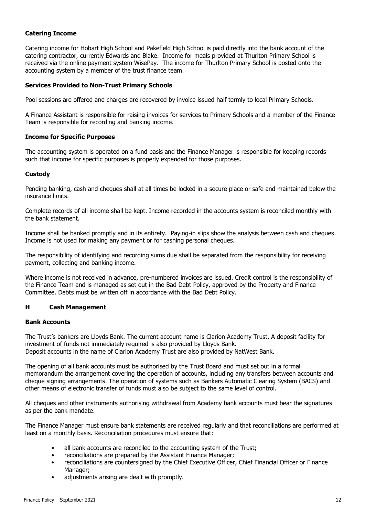# **Catering Income**

Catering income for Hobart High School and Pakefield High School is paid directly into the bank account of the catering contractor, currently Edwards and Blake. Income for meals provided at Thurlton Primary School is received via the online payment system WisePay. The income for Thurlton Primary School is posted onto the accounting system by a member of the trust finance team.

# **Services Provided to Non-Trust Primary Schools**

Pool sessions are offered and charges are recovered by invoice issued half termly to local Primary Schools.

A Finance Assistant is responsible for raising invoices for services to Primary Schools and a member of the Finance Team is responsible for recording and banking income.

#### **Income for Specific Purposes**

The accounting system is operated on a fund basis and the Finance Manager is responsible for keeping records such that income for specific purposes is properly expended for those purposes.

#### **Custody**

Pending banking, cash and cheques shall at all times be locked in a secure place or safe and maintained below the insurance limits.

Complete records of all income shall be kept. Income recorded in the accounts system is reconciled monthly with the bank statement.

Income shall be banked promptly and in its entirety. Paying-in slips show the analysis between cash and cheques. Income is not used for making any payment or for cashing personal cheques.

The responsibility of identifying and recording sums due shall be separated from the responsibility for receiving payment, collecting and banking income.

Where income is not received in advance, pre-numbered invoices are issued. Credit control is the responsibility of the Finance Team and is managed as set out in the Bad Debt Policy, approved by the Property and Finance Committee. Debts must be written off in accordance with the Bad Debt Policy.

# **H Cash Management**

#### **Bank Accounts**

The Trust's bankers are Lloyds Bank. The current account name is Clarion Academy Trust. A deposit facility for investment of funds not immediately required is also provided by Lloyds Bank. Deposit accounts in the name of Clarion Academy Trust are also provided by NatWest Bank.

The opening of all bank accounts must be authorised by the Trust Board and must set out in a formal memorandum the arrangement covering the operation of accounts, including any transfers between accounts and cheque signing arrangements. The operation of systems such as Bankers Automatic Clearing System (BACS) and other means of electronic transfer of funds must also be subject to the same level of control.

All cheques and other instruments authorising withdrawal from Academy bank accounts must bear the signatures as per the bank mandate.

The Finance Manager must ensure bank statements are received regularly and that reconciliations are performed at least on a monthly basis. Reconciliation procedures must ensure that:

- all bank accounts are reconciled to the accounting system of the Trust;
- reconciliations are prepared by the Assistant Finance Manager;
- reconciliations are countersigned by the Chief Executive Officer, Chief Financial Officer or Finance Manager;
- adjustments arising are dealt with promptly.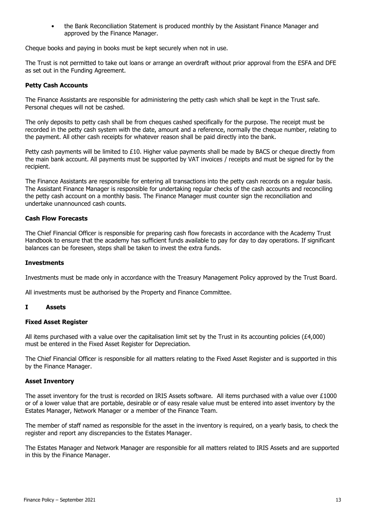• the Bank Reconciliation Statement is produced monthly by the Assistant Finance Manager and approved by the Finance Manager.

Cheque books and paying in books must be kept securely when not in use.

The Trust is not permitted to take out loans or arrange an overdraft without prior approval from the ESFA and DFE as set out in the Funding Agreement.

# **Petty Cash Accounts**

The Finance Assistants are responsible for administering the petty cash which shall be kept in the Trust safe. Personal cheques will not be cashed.

The only deposits to petty cash shall be from cheques cashed specifically for the purpose. The receipt must be recorded in the petty cash system with the date, amount and a reference, normally the cheque number, relating to the payment. All other cash receipts for whatever reason shall be paid directly into the bank.

Petty cash payments will be limited to £10. Higher value payments shall be made by BACS or cheque directly from the main bank account. All payments must be supported by VAT invoices / receipts and must be signed for by the recipient.

The Finance Assistants are responsible for entering all transactions into the petty cash records on a regular basis. The Assistant Finance Manager is responsible for undertaking regular checks of the cash accounts and reconciling the petty cash account on a monthly basis. The Finance Manager must counter sign the reconciliation and undertake unannounced cash counts.

# **Cash Flow Forecasts**

The Chief Financial Officer is responsible for preparing cash flow forecasts in accordance with the Academy Trust Handbook to ensure that the academy has sufficient funds available to pay for day to day operations. If significant balances can be foreseen, steps shall be taken to invest the extra funds.

# **Investments**

Investments must be made only in accordance with the Treasury Management Policy approved by the Trust Board.

All investments must be authorised by the Property and Finance Committee.

# **I Assets**

#### **Fixed Asset Register**

All items purchased with a value over the capitalisation limit set by the Trust in its accounting policies ( $\text{\pounds}4,000$ ) must be entered in the Fixed Asset Register for Depreciation.

The Chief Financial Officer is responsible for all matters relating to the Fixed Asset Register and is supported in this by the Finance Manager.

#### **Asset Inventory**

The asset inventory for the trust is recorded on IRIS Assets software. All items purchased with a value over £1000 or of a lower value that are portable, desirable or of easy resale value must be entered into asset inventory by the Estates Manager, Network Manager or a member of the Finance Team.

The member of staff named as responsible for the asset in the inventory is required, on a yearly basis, to check the register and report any discrepancies to the Estates Manager.

The Estates Manager and Network Manager are responsible for all matters related to IRIS Assets and are supported in this by the Finance Manager.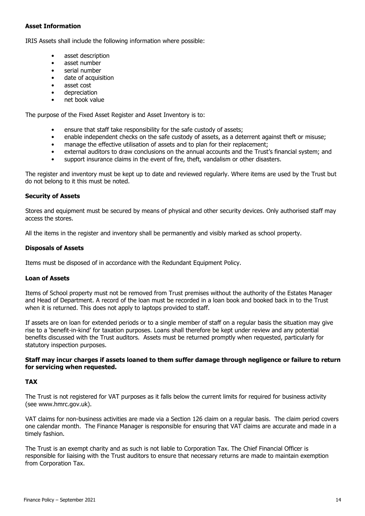# **Asset Information**

IRIS Assets shall include the following information where possible:

- asset description
- asset number
- serial number
- date of acquisition
- asset cost
- depreciation
- net book value

The purpose of the Fixed Asset Register and Asset Inventory is to:

- ensure that staff take responsibility for the safe custody of assets;
- enable independent checks on the safe custody of assets, as a deterrent against theft or misuse;
- manage the effective utilisation of assets and to plan for their replacement;
- external auditors to draw conclusions on the annual accounts and the Trust's financial system; and
- support insurance claims in the event of fire, theft, vandalism or other disasters.

The register and inventory must be kept up to date and reviewed regularly. Where items are used by the Trust but do not belong to it this must be noted.

# **Security of Assets**

Stores and equipment must be secured by means of physical and other security devices. Only authorised staff may access the stores.

All the items in the register and inventory shall be permanently and visibly marked as school property.

#### **Disposals of Assets**

Items must be disposed of in accordance with the Redundant Equipment Policy.

# **Loan of Assets**

Items of School property must not be removed from Trust premises without the authority of the Estates Manager and Head of Department. A record of the loan must be recorded in a loan book and booked back in to the Trust when it is returned. This does not apply to laptops provided to staff.

If assets are on loan for extended periods or to a single member of staff on a regular basis the situation may give rise to a 'benefit-in-kind' for taxation purposes. Loans shall therefore be kept under review and any potential benefits discussed with the Trust auditors. Assets must be returned promptly when requested, particularly for statutory inspection purposes.

#### **Staff may incur charges if assets loaned to them suffer damage through negligence or failure to return for servicing when requested.**

# **TAX**

The Trust is not registered for VAT purposes as it falls below the current limits for required for business activity (see www.hmrc.gov.uk).

VAT claims for non-business activities are made via a Section 126 claim on a regular basis. The claim period covers one calendar month. The Finance Manager is responsible for ensuring that VAT claims are accurate and made in a timely fashion.

The Trust is an exempt charity and as such is not liable to Corporation Tax. The Chief Financial Officer is responsible for liaising with the Trust auditors to ensure that necessary returns are made to maintain exemption from Corporation Tax.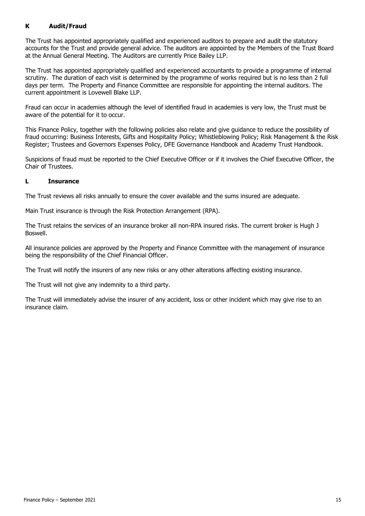# **K Audit/Fraud**

The Trust has appointed appropriately qualified and experienced auditors to prepare and audit the statutory accounts for the Trust and provide general advice. The auditors are appointed by the Members of the Trust Board at the Annual General Meeting. The Auditors are currently Price Bailey LLP.

The Trust has appointed appropriately qualified and experienced accountants to provide a programme of internal scrutiny. The duration of each visit is determined by the programme of works required but is no less than 2 full days per term. The Property and Finance Committee are responsible for appointing the internal auditors. The current appointment is Lovewell Blake LLP.

Fraud can occur in academies although the level of identified fraud in academies is very low, the Trust must be aware of the potential for it to occur.

This Finance Policy, together with the following policies also relate and give guidance to reduce the possibility of fraud occurring: Business Interests, Gifts and Hospitality Policy; Whistleblowing Policy; Risk Management & the Risk Register; Trustees and Governors Expenses Policy, DFE Governance Handbook and Academy Trust Handbook.

Suspicions of fraud must be reported to the Chief Executive Officer or if it involves the Chief Executive Officer, the Chair of Trustees.

# **L Insurance**

The Trust reviews all risks annually to ensure the cover available and the sums insured are adequate.

Main Trust insurance is through the Risk Protection Arrangement (RPA).

The Trust retains the services of an insurance broker all non-RPA insured risks. The current broker is Hugh J Boswell.

All insurance policies are approved by the Property and Finance Committee with the management of insurance being the responsibility of the Chief Financial Officer.

The Trust will notify the insurers of any new risks or any other alterations affecting existing insurance.

The Trust will not give any indemnity to a third party.

The Trust will immediately advise the insurer of any accident, loss or other incident which may give rise to an insurance claim.